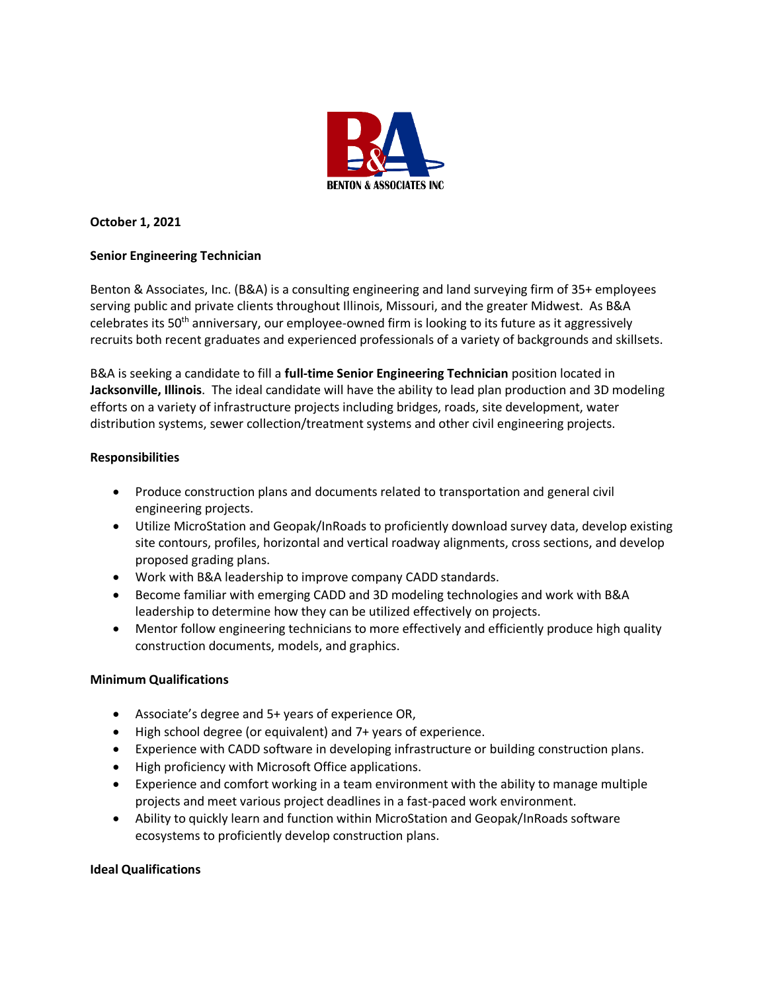

# **October 1, 2021**

# **Senior Engineering Technician**

Benton & Associates, Inc. (B&A) is a consulting engineering and land surveying firm of 35+ employees serving public and private clients throughout Illinois, Missouri, and the greater Midwest. As B&A celebrates its 50th anniversary, our employee-owned firm is looking to its future as it aggressively recruits both recent graduates and experienced professionals of a variety of backgrounds and skillsets.

B&A is seeking a candidate to fill a **full-time Senior Engineering Technician** position located in **Jacksonville, Illinois**. The ideal candidate will have the ability to lead plan production and 3D modeling efforts on a variety of infrastructure projects including bridges, roads, site development, water distribution systems, sewer collection/treatment systems and other civil engineering projects.

## **Responsibilities**

- Produce construction plans and documents related to transportation and general civil engineering projects.
- Utilize MicroStation and Geopak/InRoads to proficiently download survey data, develop existing site contours, profiles, horizontal and vertical roadway alignments, cross sections, and develop proposed grading plans.
- Work with B&A leadership to improve company CADD standards.
- Become familiar with emerging CADD and 3D modeling technologies and work with B&A leadership to determine how they can be utilized effectively on projects.
- Mentor follow engineering technicians to more effectively and efficiently produce high quality construction documents, models, and graphics.

## **Minimum Qualifications**

- Associate's degree and 5+ years of experience OR,
- High school degree (or equivalent) and 7+ years of experience.
- Experience with CADD software in developing infrastructure or building construction plans.
- High proficiency with Microsoft Office applications.
- Experience and comfort working in a team environment with the ability to manage multiple projects and meet various project deadlines in a fast-paced work environment.
- Ability to quickly learn and function within MicroStation and Geopak/InRoads software ecosystems to proficiently develop construction plans.

## **Ideal Qualifications**